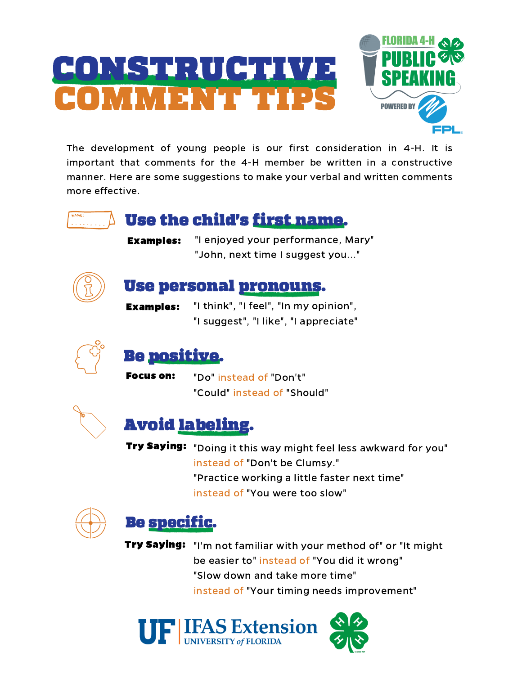# CONSTRUCTIVE COMMENT TIPS



The development of young people is our first consideration in 4-H. It is important that comments for the 4-H member be written in a constructive manner. Here are some suggestions to make your verbal and written comments more effective.



### Use the child's first name.

Examples:

"I enjoyed your performance, Mary" "John, next time I suggest you..."



#### Use personal pronouns.

"I think", "I feel", "In my opinion", "I suggest", "I like", "I appreciate" Examples:



#### Be positive.

"Do" instead of "Don't" "Could" instead of "Should" Focus on:



## Avoid labeling.

**Try Saying:** "Doing it this way might feel less awkward for you" instead of "Don't be Clumsy." "Practice working a little faster next time" instead of "You were too slow"



#### Be specific.

Try Saying: "I'm not familiar with your method of" or "It might be easier to" instead of "You did it wrong" "Slow down and take more time" instead of "Your timing needs improvement"